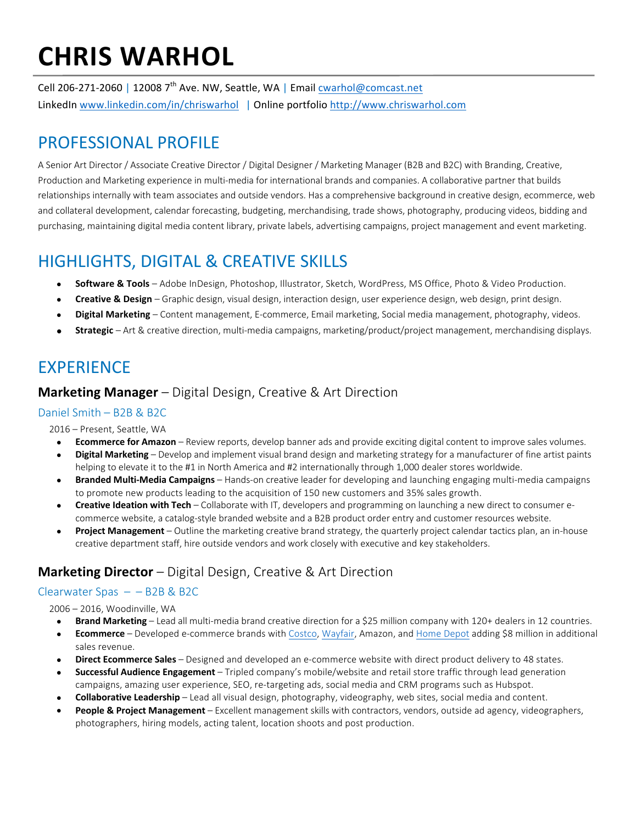# **CHRIS WARHOL**

Cell 206-271-2060 | 12008 7<sup>th</sup> Ave. NW, Seattle, WA | Email cwarhol@comcast.net LinkedIn www.linkedin.com/in/chriswarhol | Online portfolio http://www.chriswarhol.com

## PROFESSIONAL PROFILE

A Senior Art Director / Associate Creative Director / Digital Designer / Marketing Manager (B2B and B2C) with Branding, Creative, Production and Marketing experience in multi-media for international brands and companies. A collaborative partner that builds relationships internally with team associates and outside vendors. Has a comprehensive background in creative design, ecommerce, web and collateral development, calendar forecasting, budgeting, merchandising, trade shows, photography, producing videos, bidding and purchasing, maintaining digital media content library, private labels, advertising campaigns, project management and event marketing.

# **HIGHLIGHTS, DIGITAL & CREATIVE SKILLS**

- Software & Tools Adobe InDesign, Photoshop, Illustrator, Sketch, WordPress, MS Office, Photo & Video Production.
- **Creative & Design** Graphic design, visual design, interaction design, user experience design, web design, print design.
- Digital Marketing Content management, E-commerce, Email marketing, Social media management, photography, videos.
- **Strategic** Art & creative direction, multi-media campaigns, marketing/product/project management, merchandising displays.

## **EXPERIENCE**

#### **Marketing Manager** – Digital Design, Creative & Art Direction

#### Daniel Smith - B2B & B2C

2016 - Present, Seattle, WA

- **Ecommerce for Amazon** Review reports, develop banner ads and provide exciting digital content to improve sales volumes.
- **Digital Marketing** Develop and implement visual brand design and marketing strategy for a manufacturer of fine artist paints helping to elevate it to the #1 in North America and #2 internationally through 1,000 dealer stores worldwide.
- **Branded Multi-Media Campaigns** Hands-on creative leader for developing and launching engaging multi-media campaigns to promote new products leading to the acquisition of 150 new customers and 35% sales growth.
- **Creative Ideation with Tech** Collaborate with IT, developers and programming on launching a new direct to consumer ecommerce website, a catalog-style branded website and a B2B product order entry and customer resources website.
- **Project Management** Outline the marketing creative brand strategy, the quarterly project calendar tactics plan, an in-house creative department staff, hire outside vendors and work closely with executive and key stakeholders.

## **Marketing Director** – Digital Design, Creative & Art Direction

#### Clearwater Spas  $- - B2B & B2C$

2006 - 2016, Woodinville, WA

- **Brand Marketing** Lead all multi-media brand creative direction for a \$25 million company with 120+ dealers in 12 countries.
- **Ecommerce** Developed e-commerce brands with Costco, Wayfair, Amazon, and Home Depot adding \$8 million in additional sales revenue.
- **Direct Ecommerce Sales** Designed and developed an e-commerce website with direct product delivery to 48 states.
- **Successful Audience Engagement** Tripled company's mobile/website and retail store traffic through lead generation campaigns, amazing user experience, SEO, re-targeting ads, social media and CRM programs such as Hubspot.
- **Collaborative Leadership** Lead all visual design, photography, videography, web sites, social media and content.
- **People & Project Management** Excellent management skills with contractors, vendors, outside ad agency, videographers, photographers, hiring models, acting talent, location shoots and post production.